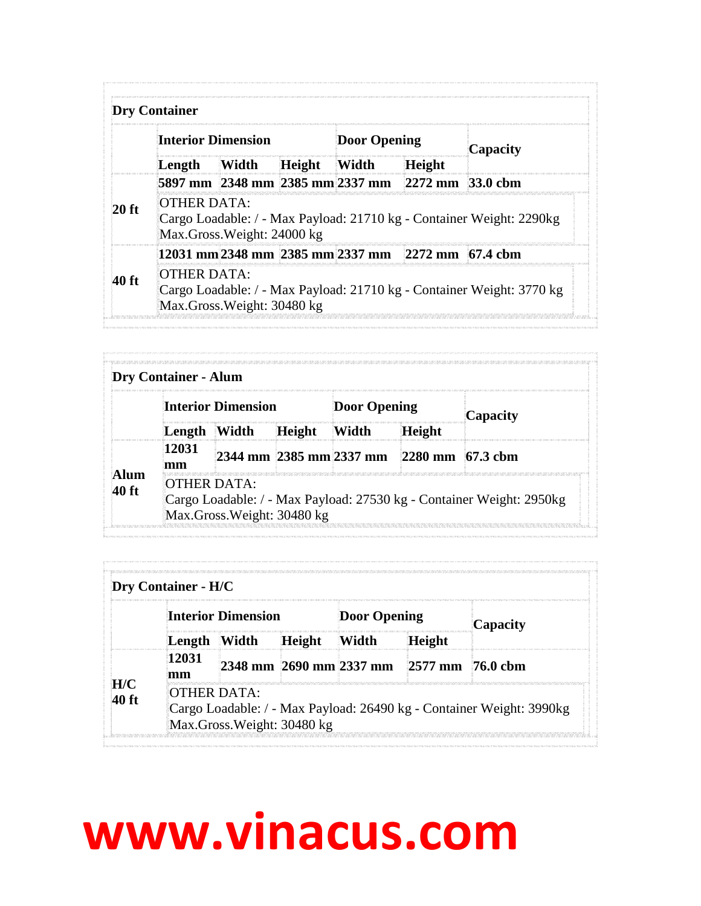|         | <b>Dry Container</b>                                                                                              |                            |              |                     |                                                   |                                                                       |
|---------|-------------------------------------------------------------------------------------------------------------------|----------------------------|--------------|---------------------|---------------------------------------------------|-----------------------------------------------------------------------|
|         | <b>Interior Dimension</b>                                                                                         |                            |              | <b>Door Opening</b> |                                                   | Capacity                                                              |
|         | Length                                                                                                            | Width                      | Height Width |                     | <b>Height</b>                                     |                                                                       |
|         |                                                                                                                   |                            |              |                     | 5897 mm 2348 mm 2385 mm 2337 mm 2272 mm 33.0 cbm  |                                                                       |
| $20$ ft | OTHER DATA:<br>Cargo Loadable: / - Max Payload: 21710 kg - Container Weight: 2290kg<br>Max.Gross.Weight: 24000 kg |                            |              |                     |                                                   |                                                                       |
|         |                                                                                                                   |                            |              |                     | 12031 mm 2348 mm 2385 mm 2337 mm 2272 mm 67.4 cbm |                                                                       |
| 40 ft   | OTHER DATA:                                                                                                       | Max.Gross.Weight: 30480 kg |              |                     |                                                   | Cargo Loadable: / - Max Payload: 21710 kg - Container Weight: 3770 kg |

|      |             | Interior Dimension |               | Door Opening |                                          | Capacity |
|------|-------------|--------------------|---------------|--------------|------------------------------------------|----------|
|      | Length      | Width              | <b>Height</b> | Width        | Height                                   |          |
| lıım | 12031<br>mm |                    |               |              | 2344 mm 2385 mm 2337 mm 2280 mm 67.3 cbm |          |

|     |              | <b>Interior Dimension</b> |               | <b>Door Opening</b> |                                          | Capacity |
|-----|--------------|---------------------------|---------------|---------------------|------------------------------------------|----------|
|     | Length Width |                           | <b>Height</b> | Width               | Height                                   |          |
| H/C | 12031<br>mm  |                           |               |                     | 2348 mm 2690 mm 2337 mm 2577 mm 76.0 cbm |          |

## **www.vinacus.com**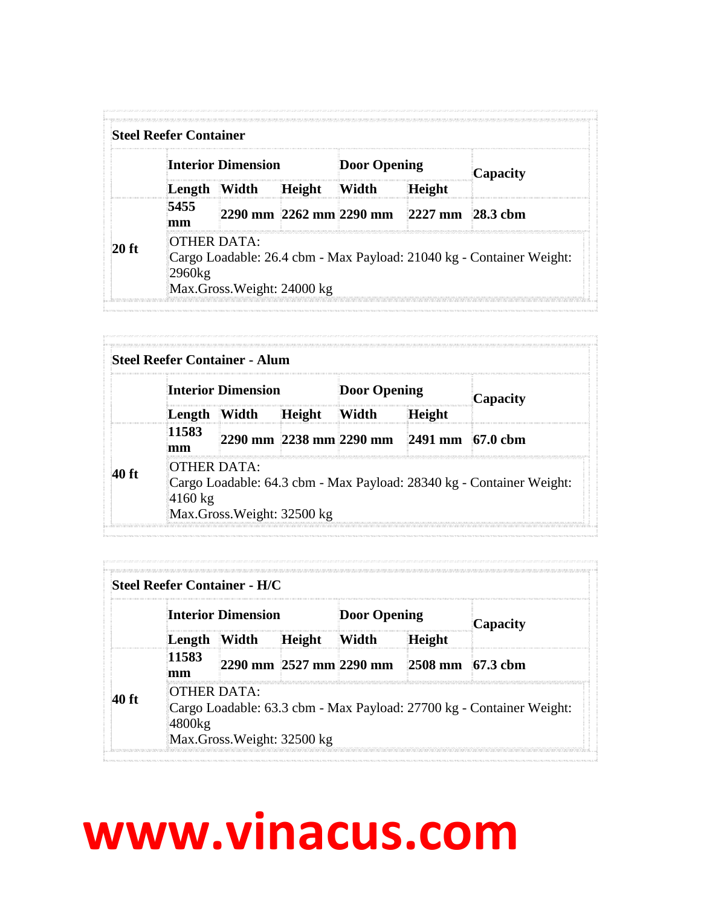|       |                       | <b>Interior Dimension</b>  |               | <b>Door Opening</b> |                                          | Capacity                                                             |
|-------|-----------------------|----------------------------|---------------|---------------------|------------------------------------------|----------------------------------------------------------------------|
|       | Length Width          |                            | <b>Height</b> | Width               | Height                                   |                                                                      |
|       | 5455<br>mm            |                            |               |                     | 2290 mm 2262 mm 2290 mm 2227 mm 28.3 cbm |                                                                      |
| 20 ft | OTHER DATA:<br>2960kg | Max.Gross.Weight: 24000 kg |               |                     |                                          | Cargo Loadable: 26.4 cbm - Max Payload: 21040 kg - Container Weight: |

|       |                   | <b>Steel Reefer Container - Alum</b>      |               |                     |                                          |                                                                      |
|-------|-------------------|-------------------------------------------|---------------|---------------------|------------------------------------------|----------------------------------------------------------------------|
|       |                   | Interior Dimension                        |               | <b>Door Opening</b> |                                          | Capacity                                                             |
|       | Length Width      |                                           | <b>Height</b> | Width               | <b>Height</b>                            |                                                                      |
|       | 11583<br>mm       |                                           |               |                     | 2290 mm 2238 mm 2290 mm 2491 mm 67.0 cbm |                                                                      |
| 40 ft | $4160 \text{ kg}$ | OTHER DATA:<br>Max.Gross.Weight: 32500 kg |               |                     |                                          | Cargo Loadable: 64.3 cbm - Max Payload: 28340 kg - Container Weight: |

|       | Steel Reefer Container - H/C |                                           |        |              |                                          |                                                                      |
|-------|------------------------------|-------------------------------------------|--------|--------------|------------------------------------------|----------------------------------------------------------------------|
|       |                              | Interior Dimension                        |        | Door Opening |                                          | Capacity                                                             |
|       | Length Width                 |                                           | Height | Width        | Height                                   |                                                                      |
|       | 11583<br>mm                  |                                           |        |              | 2290 mm 2527 mm 2290 mm 2508 mm 67.3 cbm |                                                                      |
| 40 ft | 4800kg                       | OTHER DATA:<br>Max.Gross.Weight: 32500 kg |        |              |                                          | Cargo Loadable: 63.3 cbm - Max Payload: 27700 kg - Container Weight: |

## **www.vinacus.com**